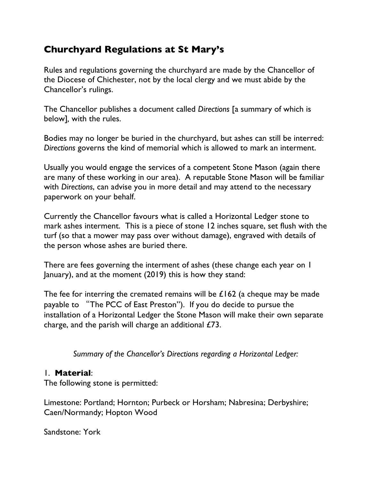# **Churchyard Regulations at St Mary's**

Rules and regulations governing the churchyard are made by the Chancellor of the Diocese of Chichester, not by the local clergy and we must abide by the Chancellor's rulings.

The Chancellor publishes a document called *Directions* [a summary of which is below]*,* with the rules.

Bodies may no longer be buried in the churchyard, but ashes can still be interred: *Directions* governs the kind of memorial which is allowed to mark an interment.

Usually you would engage the services of a competent Stone Mason (again there are many of these working in our area). A reputable Stone Mason will be familiar with *Directions*, can advise you in more detail and may attend to the necessary paperwork on your behalf.

Currently the Chancellor favours what is called a Horizontal Ledger stone to mark ashes interment. This is a piece of stone 12 inches square, set flush with the turf (so that a mower may pass over without damage), engraved with details of the person whose ashes are buried there.

There are fees governing the interment of ashes (these change each year on 1 January), and at the moment (2019) this is how they stand:

The fee for interring the cremated remains will be  $£162$  (a cheque may be made payable to "The PCC of East Preston"). If you do decide to pursue the installation of a Horizontal Ledger the Stone Mason will make their own separate charge, and the parish will charge an additional  $E/3$ .

*Summary of the Chancellor's Directions regarding a Horizontal Ledger:*

#### 1. **Material**:

The following stone is permitted:

Limestone: Portland; Hornton; Purbeck or Horsham; Nabresina; Derbyshire; Caen/Normandy; Hopton Wood

Sandstone: York